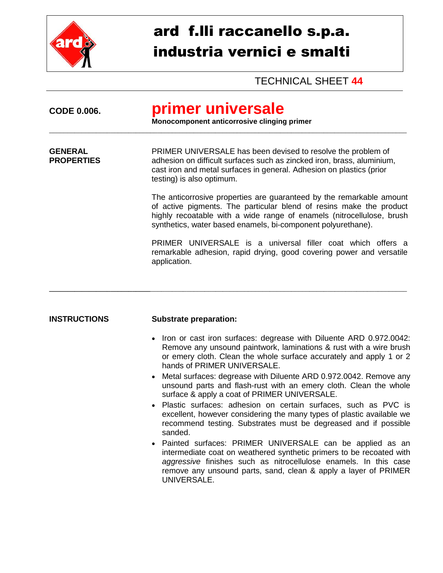

## ard f.lli raccanello s.p.a. industria vernici e smalti

TECHNICAL SHEET **44**

| primer universale<br>Monocomponent anticorrosive clinging primer                                                                                                                                                                                                                                                                                                                                                                                                                                                                     |  |  |
|--------------------------------------------------------------------------------------------------------------------------------------------------------------------------------------------------------------------------------------------------------------------------------------------------------------------------------------------------------------------------------------------------------------------------------------------------------------------------------------------------------------------------------------|--|--|
| PRIMER UNIVERSALE has been devised to resolve the problem of<br>adhesion on difficult surfaces such as zincked iron, brass, aluminium,<br>cast iron and metal surfaces in general. Adhesion on plastics (prior<br>testing) is also optimum.                                                                                                                                                                                                                                                                                          |  |  |
| The anticorrosive properties are guaranteed by the remarkable amount<br>of active pigments. The particular blend of resins make the product<br>highly recoatable with a wide range of enamels (nitrocellulose, brush<br>synthetics, water based enamels, bi-component polyurethane).                                                                                                                                                                                                                                                 |  |  |
| PRIMER UNIVERSALE is a universal filler coat which offers a<br>remarkable adhesion, rapid drying, good covering power and versatile<br>application.                                                                                                                                                                                                                                                                                                                                                                                  |  |  |
| <b>Substrate preparation:</b>                                                                                                                                                                                                                                                                                                                                                                                                                                                                                                        |  |  |
| Iron or cast iron surfaces: degrease with Diluente ARD 0.972.0042:<br>$\bullet$<br>Remove any unsound paintwork, laminations & rust with a wire brush<br>or emery cloth. Clean the whole surface accurately and apply 1 or 2<br>hands of PRIMER UNIVERSALE.<br>Metal surfaces: degrease with Diluente ARD 0.972.0042. Remove any<br>$\bullet$<br>unsound parts and flash-rust with an emery cloth. Clean the whole<br>surface & apply a coat of PRIMER UNIVERSALE.<br>Plastic surfaces: adhesion on certain surfaces, such as PVC is |  |  |
|                                                                                                                                                                                                                                                                                                                                                                                                                                                                                                                                      |  |  |

- Plastic surfaces: adhesion on certain surfaces, such as PVC is excellent, however considering the many types of plastic available we recommend testing. Substrates must be degreased and if possible sanded.
- Painted surfaces: PRIMER UNIVERSALE can be applied as an intermediate coat on weathered synthetic primers to be recoated with *aggressive* finishes such as nitrocellulose enamels. In this case remove any unsound parts, sand, clean & apply a layer of PRIMER UNIVERSALE.